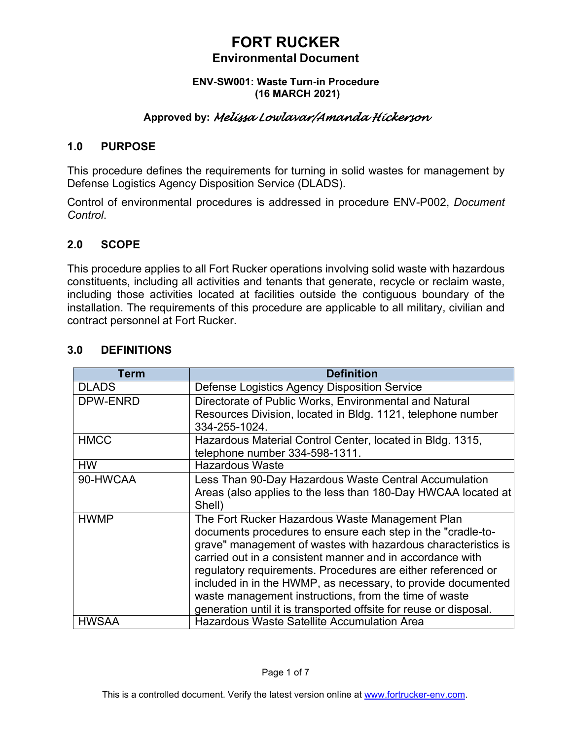#### **ENV-SW001: Waste Turn-in Procedure (16 MARCH 2021)**

## **Approved by:** *Melissa Lowlavar/Amanda Hickerson*

### **1.0 PURPOSE**

This procedure defines the requirements for turning in solid wastes for management by Defense Logistics Agency Disposition Service (DLADS).

Control of environmental procedures is addressed in procedure ENV-P002, *Document Control*.

### **2.0 SCOPE**

This procedure applies to all Fort Rucker operations involving solid waste with hazardous constituents, including all activities and tenants that generate, recycle or reclaim waste, including those activities located at facilities outside the contiguous boundary of the installation. The requirements of this procedure are applicable to all military, civilian and contract personnel at Fort Rucker.

| Term         | <b>Definition</b>                                                 |
|--------------|-------------------------------------------------------------------|
| <b>DLADS</b> | Defense Logistics Agency Disposition Service                      |
| DPW-ENRD     | Directorate of Public Works, Environmental and Natural            |
|              | Resources Division, located in Bldg. 1121, telephone number       |
|              | 334-255-1024.                                                     |
| <b>HMCC</b>  | Hazardous Material Control Center, located in Bldg. 1315,         |
|              | telephone number 334-598-1311.                                    |
| <b>HW</b>    | <b>Hazardous Waste</b>                                            |
| 90-HWCAA     | Less Than 90-Day Hazardous Waste Central Accumulation             |
|              | Areas (also applies to the less than 180-Day HWCAA located at     |
|              | Shell)                                                            |
| <b>HWMP</b>  | The Fort Rucker Hazardous Waste Management Plan                   |
|              | documents procedures to ensure each step in the "cradle-to-       |
|              | grave" management of wastes with hazardous characteristics is     |
|              | carried out in a consistent manner and in accordance with         |
|              | regulatory requirements. Procedures are either referenced or      |
|              | included in in the HWMP, as necessary, to provide documented      |
|              | waste management instructions, from the time of waste             |
|              | generation until it is transported offsite for reuse or disposal. |
| <b>HWSAA</b> | <b>Hazardous Waste Satellite Accumulation Area</b>                |

## **3.0 DEFINITIONS**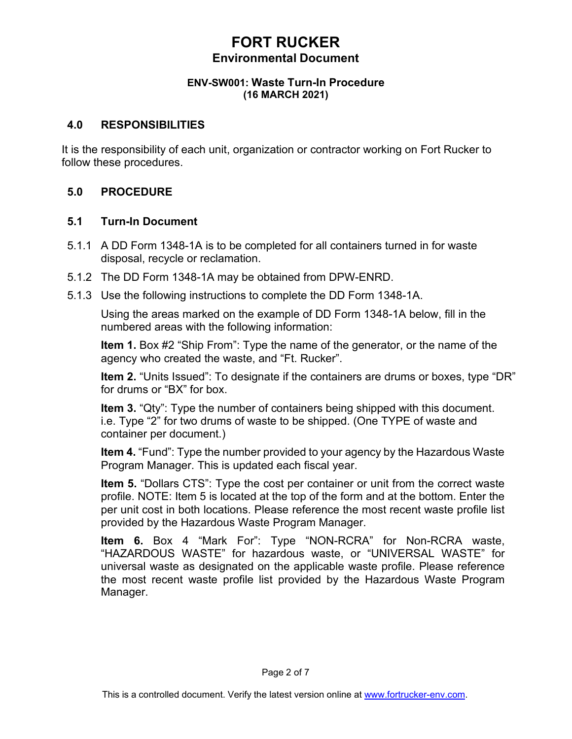#### **ENV-SW001: Waste Turn-In Procedure (16 MARCH 2021)**

### **4.0 RESPONSIBILITIES**

It is the responsibility of each unit, organization or contractor working on Fort Rucker to follow these procedures.

## **5.0 PROCEDURE**

### **5.1 Turn-In Document**

- 5.1.1 A DD Form 1348-1A is to be completed for all containers turned in for waste disposal, recycle or reclamation.
- 5.1.2 The DD Form 1348-1A may be obtained from DPW-ENRD.
- 5.1.3 Use the following instructions to complete the DD Form 1348-1A.

Using the areas marked on the example of DD Form 1348-1A below, fill in the numbered areas with the following information:

**Item 1.** Box #2 "Ship From": Type the name of the generator, or the name of the agency who created the waste, and "Ft. Rucker".

**Item 2.** "Units Issued": To designate if the containers are drums or boxes, type "DR" for drums or "BX" for box.

**Item 3.** "Qty": Type the number of containers being shipped with this document. i.e. Type "2" for two drums of waste to be shipped. (One TYPE of waste and container per document.)

**Item 4.** "Fund": Type the number provided to your agency by the Hazardous Waste Program Manager. This is updated each fiscal year.

**Item 5.** "Dollars CTS": Type the cost per container or unit from the correct waste profile. NOTE: Item 5 is located at the top of the form and at the bottom. Enter the per unit cost in both locations. Please reference the most recent waste profile list provided by the Hazardous Waste Program Manager.

**Item 6.** Box 4 "Mark For": Type "NON-RCRA" for Non-RCRA waste, "HAZARDOUS WASTE" for hazardous waste, or "UNIVERSAL WASTE" for universal waste as designated on the applicable waste profile. Please reference the most recent waste profile list provided by the Hazardous Waste Program Manager.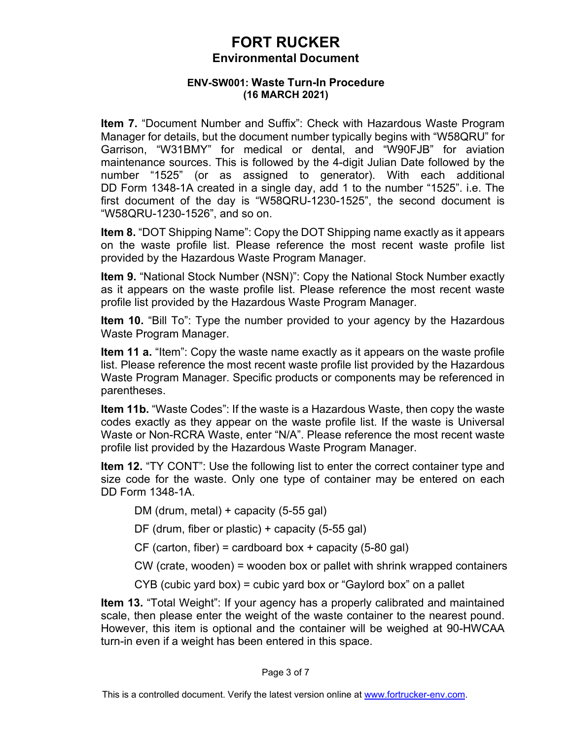#### **ENV-SW001: Waste Turn-In Procedure (16 MARCH 2021)**

**Item 7.** "Document Number and Suffix": Check with Hazardous Waste Program Manager for details, but the document number typically begins with "W58QRU" for Garrison, "W31BMY" for medical or dental, and "W90FJB" for aviation maintenance sources. This is followed by the 4-digit Julian Date followed by the number "1525" (or as assigned to generator). With each additional DD Form 1348-1A created in a single day, add 1 to the number "1525". i.e. The first document of the day is "W58QRU-1230-1525", the second document is "W58QRU-1230-1526", and so on.

**Item 8.** "DOT Shipping Name": Copy the DOT Shipping name exactly as it appears on the waste profile list. Please reference the most recent waste profile list provided by the Hazardous Waste Program Manager.

**Item 9.** "National Stock Number (NSN)": Copy the National Stock Number exactly as it appears on the waste profile list. Please reference the most recent waste profile list provided by the Hazardous Waste Program Manager.

**Item 10.** "Bill To": Type the number provided to your agency by the Hazardous Waste Program Manager.

**Item 11 a.** "Item": Copy the waste name exactly as it appears on the waste profile list. Please reference the most recent waste profile list provided by the Hazardous Waste Program Manager. Specific products or components may be referenced in parentheses.

**Item 11b.** "Waste Codes": If the waste is a Hazardous Waste, then copy the waste codes exactly as they appear on the waste profile list. If the waste is Universal Waste or Non-RCRA Waste, enter "N/A". Please reference the most recent waste profile list provided by the Hazardous Waste Program Manager.

**Item 12.** "TY CONT": Use the following list to enter the correct container type and size code for the waste. Only one type of container may be entered on each DD Form 1348-1A.

DM (drum, metal) + capacity (5-55 gal)

DF (drum, fiber or plastic) + capacity (5-55 gal)

CF (carton, fiber) = cardboard box + capacity (5-80 gal)

CW (crate, wooden) = wooden box or pallet with shrink wrapped containers

CYB (cubic yard box) = cubic yard box or "Gaylord box" on a pallet

**Item 13.** "Total Weight": If your agency has a properly calibrated and maintained scale, then please enter the weight of the waste container to the nearest pound. However, this item is optional and the container will be weighed at 90-HWCAA turn-in even if a weight has been entered in this space.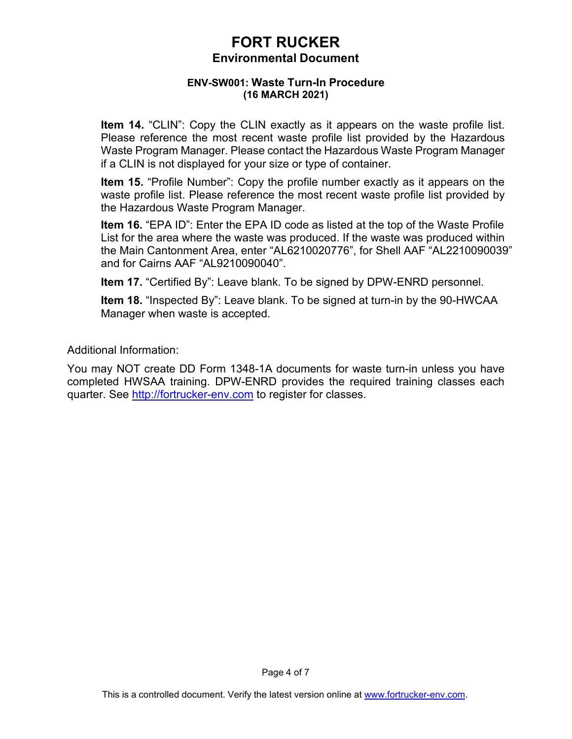#### **ENV-SW001: Waste Turn-In Procedure (16 MARCH 2021)**

**Item 14.** "CLIN": Copy the CLIN exactly as it appears on the waste profile list. Please reference the most recent waste profile list provided by the Hazardous Waste Program Manager. Please contact the Hazardous Waste Program Manager if a CLIN is not displayed for your size or type of container.

**Item 15.** "Profile Number": Copy the profile number exactly as it appears on the waste profile list. Please reference the most recent waste profile list provided by the Hazardous Waste Program Manager.

**Item 16.** "EPA ID": Enter the EPA ID code as listed at the top of the Waste Profile List for the area where the waste was produced. If the waste was produced within the Main Cantonment Area, enter "AL6210020776", for Shell AAF "AL2210090039" and for Cairns AAF "AL9210090040".

**Item 17.** "Certified By": Leave blank. To be signed by DPW-ENRD personnel.

**Item 18.** "Inspected By": Leave blank. To be signed at turn-in by the 90-HWCAA Manager when waste is accepted.

Additional Information:

You may NOT create DD Form 1348-1A documents for waste turn-in unless you have completed HWSAA training. DPW-ENRD provides the required training classes each quarter. See [http://fortrucker-env.com](http://fortrucker-env.com/) to register for classes.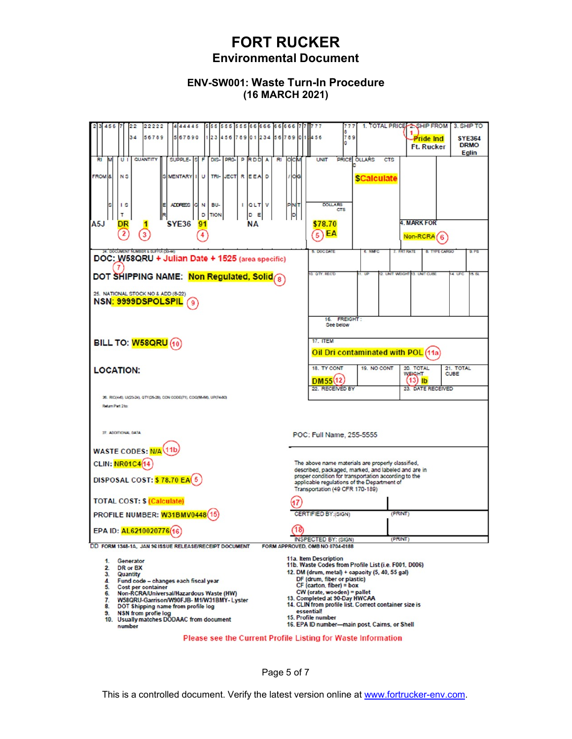### **ENV-SW001: Waste Turn-In Procedure (16 MARCH 2021)**

| 22222<br>444445<br>555 555 555 66 666 66 66<br>456<br>22                                                                                                                                                                                                                                                                                                                        | 1. TOTAL PRICE 2SHIP FROM<br>3. SHIP TO<br>777                                                                                                                                                                                                                                                                                                                                                              |  |  |
|---------------------------------------------------------------------------------------------------------------------------------------------------------------------------------------------------------------------------------------------------------------------------------------------------------------------------------------------------------------------------------|-------------------------------------------------------------------------------------------------------------------------------------------------------------------------------------------------------------------------------------------------------------------------------------------------------------------------------------------------------------------------------------------------------------|--|--|
| 34<br>56789<br>567890<br>12345678901234567890                                                                                                                                                                                                                                                                                                                                   | 8<br>789<br>456<br><b>SYE364</b><br><b>Pride Ind</b><br>n<br><b>DRMO</b><br><b>Ft. Rucker</b><br><b>Eglin</b>                                                                                                                                                                                                                                                                                               |  |  |
| QUANTITY<br>DIS- PRO- PRODA<br>SUPPLE- S F<br><b>RI</b><br>RI<br>UI                                                                                                                                                                                                                                                                                                             | PRICE OLLARS<br><b>UNIT</b><br><b>CTS</b><br>осм                                                                                                                                                                                                                                                                                                                                                            |  |  |
| <b>FROM</b><br><b>NS</b><br><b>MENTARY I</b><br>U<br>TRI-<br>JECT REEA<br>D<br>S.                                                                                                                                                                                                                                                                                               | <b>OIG</b><br><b>SCalculate</b>                                                                                                                                                                                                                                                                                                                                                                             |  |  |
| <b>ADDRESS</b><br>BU-<br><b>QLT</b> V<br>G N<br>$\mathsf{I}$ s                                                                                                                                                                                                                                                                                                                  | <b>DOLLARS</b><br><b>PNT</b>                                                                                                                                                                                                                                                                                                                                                                                |  |  |
| D<br><b>TION</b><br>D<br>т<br>Ε<br>A <sub>5</sub> J<br>SYE36<br><b>NA</b><br>DR<br>91                                                                                                                                                                                                                                                                                           | þ<br>4. MARK FOR<br>\$78.70                                                                                                                                                                                                                                                                                                                                                                                 |  |  |
| $\overline{2}$                                                                                                                                                                                                                                                                                                                                                                  | EA<br>5<br>Non-RCRA                                                                                                                                                                                                                                                                                                                                                                                         |  |  |
| 24. DOCUMENT NUMBER & SUFFIX (30-44)<br>DOC: W58QRU + Julian Date + 1525 (area specific)                                                                                                                                                                                                                                                                                        | 5. DOG DATE<br>6. NWC<br>FRT RATE<br><b>B. TYPE CARGO</b><br>9.96                                                                                                                                                                                                                                                                                                                                           |  |  |
| DOT SHIPPING NAME: Non Regulated, Solid &                                                                                                                                                                                                                                                                                                                                       | <b>Q. OTY. RECD</b><br>2. UNIT WEIGHT<br>13. UNIT CUBE<br>4 UFC<br>15. SL                                                                                                                                                                                                                                                                                                                                   |  |  |
| 25. NATIONAL STOCK NO & ADD (8-22)<br>NSN: 9999DSPOLSPIL                                                                                                                                                                                                                                                                                                                        |                                                                                                                                                                                                                                                                                                                                                                                                             |  |  |
|                                                                                                                                                                                                                                                                                                                                                                                 | 16. FREIGHT:<br>See below                                                                                                                                                                                                                                                                                                                                                                                   |  |  |
|                                                                                                                                                                                                                                                                                                                                                                                 | <b>17. ITEM</b>                                                                                                                                                                                                                                                                                                                                                                                             |  |  |
| BILL TO: W58QRU (10)                                                                                                                                                                                                                                                                                                                                                            | Oil Dri contaminated with POL (11a                                                                                                                                                                                                                                                                                                                                                                          |  |  |
|                                                                                                                                                                                                                                                                                                                                                                                 |                                                                                                                                                                                                                                                                                                                                                                                                             |  |  |
| <b>LOCATION:</b>                                                                                                                                                                                                                                                                                                                                                                | 18. TY CONT<br>20. TOTAL<br>19. NO CONT<br>21. TOTAL<br><b>WEIGHT</b><br>CUBE<br>DM55(12<br>$(13)$ lb                                                                                                                                                                                                                                                                                                       |  |  |
| 26. RIC(4-6), UIC(3-34), GTY(25-29), CON CODE(71), COD(55-56), UP(74-80)                                                                                                                                                                                                                                                                                                        | 22. RECEIVED BY<br>23. DATE RECEIVED                                                                                                                                                                                                                                                                                                                                                                        |  |  |
| Return Part 2to:                                                                                                                                                                                                                                                                                                                                                                |                                                                                                                                                                                                                                                                                                                                                                                                             |  |  |
|                                                                                                                                                                                                                                                                                                                                                                                 |                                                                                                                                                                                                                                                                                                                                                                                                             |  |  |
| 27. ADDITIONAL DATA                                                                                                                                                                                                                                                                                                                                                             | POC: Full Name, 255-5555                                                                                                                                                                                                                                                                                                                                                                                    |  |  |
| WASTE CODES: N/A (11b)                                                                                                                                                                                                                                                                                                                                                          |                                                                                                                                                                                                                                                                                                                                                                                                             |  |  |
| <b>CLIN: NR01C4(14)</b><br>The above name materials are properly classified,                                                                                                                                                                                                                                                                                                    |                                                                                                                                                                                                                                                                                                                                                                                                             |  |  |
|                                                                                                                                                                                                                                                                                                                                                                                 | described, packaged, marked, and labeled and are in<br>proper condition for transportation according to the                                                                                                                                                                                                                                                                                                 |  |  |
| <b>DISPOSAL COST: \$78.70 EA(5)</b><br>applicable regulations of the Department of<br>Transportation (49 CFR 170-189)                                                                                                                                                                                                                                                           |                                                                                                                                                                                                                                                                                                                                                                                                             |  |  |
| <b>TOTAL COST: \$ (Calculate)</b>                                                                                                                                                                                                                                                                                                                                               |                                                                                                                                                                                                                                                                                                                                                                                                             |  |  |
| PROFILE NUMBER: W31BMV0448(15)                                                                                                                                                                                                                                                                                                                                                  | CERTIFIED BY: (SIGN)<br>(PRINT)                                                                                                                                                                                                                                                                                                                                                                             |  |  |
| EPA ID: AL6210020776(16)                                                                                                                                                                                                                                                                                                                                                        | 18)<br>(PRINT)                                                                                                                                                                                                                                                                                                                                                                                              |  |  |
| INSPECTED BY: (SIGN)<br>DD FORM 1348-1A, JAN 96 ISSUE RELEASE/RECEIPT DOCUMENT<br>FORM APPROVED, OMB NO 0704-0188                                                                                                                                                                                                                                                               |                                                                                                                                                                                                                                                                                                                                                                                                             |  |  |
| Generator<br>$\mathbf{1}$ .<br>$\mathbf{2}$<br>DR or BX<br>3. Quantity<br>4. Fund code - changes each fiscal year<br>5.<br>Cost per container<br>6. Non-RCRA/Universal/Hazardous Waste (HW)<br>7.<br>W58QRU-Garrison/W90FJB-M1/W31BMY-Lyster<br>8. DOT Shipping name from profile log<br><b>NSN</b> from profie log<br>9.<br>10. Usually matches DODAAC from document<br>number | 11a. Item Description<br>11b. Waste Codes from Profile List (i.e. F001, D006)<br>12. DM (drum, metal) + capacity (5, 40, 55 gal)<br>DF (drum, fiber or plastic)<br>$CF$ (carton, fiber) = box<br>CW (crate, wooden) = pallet<br>13. Completed at 90-Day HWCAA<br>14. CLIN from profile list. Correct container size is<br>essential!<br>15. Profile number<br>16. EPA ID number-main post, Cairns, or Shell |  |  |
| <b>Please see the Current Profile Listing for Waste Information</b>                                                                                                                                                                                                                                                                                                             |                                                                                                                                                                                                                                                                                                                                                                                                             |  |  |

Page 5 of 7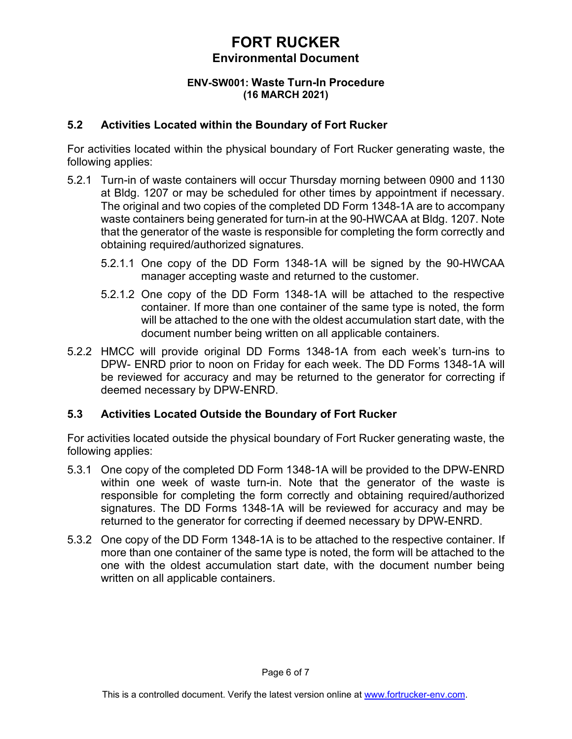#### **ENV-SW001: Waste Turn-In Procedure (16 MARCH 2021)**

## **5.2 Activities Located within the Boundary of Fort Rucker**

For activities located within the physical boundary of Fort Rucker generating waste, the following applies:

- 5.2.1 Turn-in of waste containers will occur Thursday morning between 0900 and 1130 at Bldg. 1207 or may be scheduled for other times by appointment if necessary. The original and two copies of the completed DD Form 1348-1A are to accompany waste containers being generated for turn-in at the 90-HWCAA at Bldg. 1207. Note that the generator of the waste is responsible for completing the form correctly and obtaining required/authorized signatures.
	- 5.2.1.1 One copy of the DD Form 1348-1A will be signed by the 90-HWCAA manager accepting waste and returned to the customer.
	- 5.2.1.2 One copy of the DD Form 1348-1A will be attached to the respective container. If more than one container of the same type is noted, the form will be attached to the one with the oldest accumulation start date, with the document number being written on all applicable containers.
- 5.2.2 HMCC will provide original DD Forms 1348-1A from each week's turn-ins to DPW- ENRD prior to noon on Friday for each week. The DD Forms 1348-1A will be reviewed for accuracy and may be returned to the generator for correcting if deemed necessary by DPW-ENRD.

## **5.3 Activities Located Outside the Boundary of Fort Rucker**

For activities located outside the physical boundary of Fort Rucker generating waste, the following applies:

- 5.3.1 One copy of the completed DD Form 1348-1A will be provided to the DPW-ENRD within one week of waste turn-in. Note that the generator of the waste is responsible for completing the form correctly and obtaining required/authorized signatures. The DD Forms 1348-1A will be reviewed for accuracy and may be returned to the generator for correcting if deemed necessary by DPW-ENRD.
- 5.3.2 One copy of the DD Form 1348-1A is to be attached to the respective container. If more than one container of the same type is noted, the form will be attached to the one with the oldest accumulation start date, with the document number being written on all applicable containers.